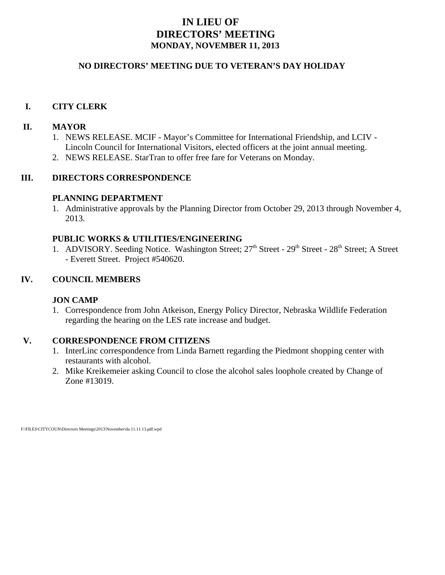## **IN LIEU OF DIRECTORS' MEETING MONDAY, NOVEMBER 11, 2013**

### **NO DIRECTORS' MEETING DUE TO VETERAN'S DAY HOLIDAY**

## **I. CITY CLERK**

## **II. MAYOR**

- 1. NEWS RELEASE. MCIF Mayor's Committee for International Friendship, and LCIV Lincoln Council for International Visitors, elected officers at the joint annual meeting.
- 2. NEWS RELEASE. StarTran to offer free fare for Veterans on Monday.

## **III. DIRECTORS CORRESPONDENCE**

### **PLANNING DEPARTMENT**

1. Administrative approvals by the Planning Director from October 29, 2013 through November 4, 2013.

#### **PUBLIC WORKS & UTILITIES/ENGINEERING**

1. ADVISORY. Seeding Notice. Washington Street; 27<sup>th</sup> Street - 29<sup>th</sup> Street - 28<sup>th</sup> Street; A Street - Everett Street. Project #540620.

## **IV. COUNCIL MEMBERS**

### **JON CAMP**

1. Correspondence from John Atkeison, Energy Policy Director, Nebraska Wildlife Federation regarding the hearing on the LES rate increase and budget.

### **V. CORRESPONDENCE FROM CITIZENS**

- 1. InterLinc correspondence from Linda Barnett regarding the Piedmont shopping center with restaurants with alcohol.
- 2. Mike Kreikemeier asking Council to close the alcohol sales loophole created by Change of Zone #13019.

F:\FILES\CITYCOUN\Directors Meetings\2013\November\da 11.11.13.pdf.wpd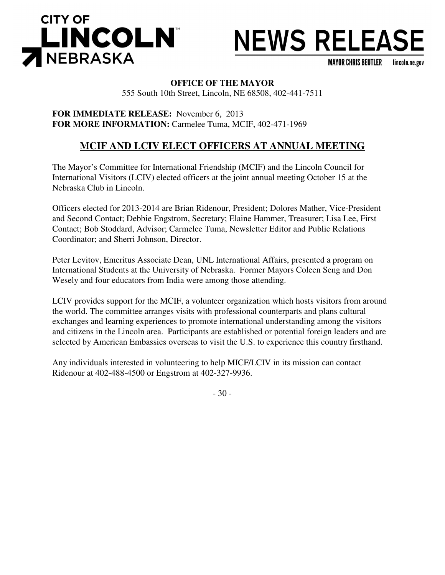

# **NEWS RELEASE**

**MAYOR CHRIS BEUTLER** lincoln.ne.gov

## **OFFICE OF THE MAYOR**

555 South 10th Street, Lincoln, NE 68508, 402-441-7511

**FOR IMMEDIATE RELEASE:** November 6, 2013 **FOR MORE INFORMATION:** Carmelee Tuma, MCIF, 402-471-1969

## **MCIF AND LCIV ELECT OFFICERS AT ANNUAL MEETING**

The Mayor's Committee for International Friendship (MCIF) and the Lincoln Council for International Visitors (LCIV) elected officers at the joint annual meeting October 15 at the Nebraska Club in Lincoln.

Officers elected for 2013-2014 are Brian Ridenour, President; Dolores Mather, Vice-President and Second Contact; Debbie Engstrom, Secretary; Elaine Hammer, Treasurer; Lisa Lee, First Contact; Bob Stoddard, Advisor; Carmelee Tuma, Newsletter Editor and Public Relations Coordinator; and Sherri Johnson, Director.

Peter Levitov, Emeritus Associate Dean, UNL International Affairs, presented a program on International Students at the University of Nebraska. Former Mayors Coleen Seng and Don Wesely and four educators from India were among those attending.

LCIV provides support for the MCIF, a volunteer organization which hosts visitors from around the world. The committee arranges visits with professional counterparts and plans cultural exchanges and learning experiences to promote international understanding among the visitors and citizens in the Lincoln area. Participants are established or potential foreign leaders and are selected by American Embassies overseas to visit the U.S. to experience this country firsthand.

Any individuals interested in volunteering to help MICF/LCIV in its mission can contact Ridenour at 402-488-4500 or Engstrom at 402-327-9936.

- 30 -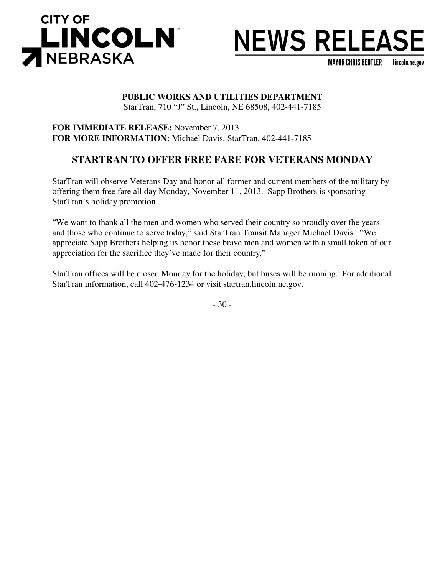

## **NEWS RELEASE**

**MAYOR CHRIS BEUTLER** lincoln.ne.gov

## **PUBLIC WORKS AND UTILITIES DEPARTMENT**

StarTran, 710 "J" St., Lincoln, NE 68508, 402-441-7185

**FOR IMMEDIATE RELEASE:** November 7, 2013 **FOR MORE INFORMATION:** Michael Davis, StarTran, 402-441-7185

## **STARTRAN TO OFFER FREE FARE FOR VETERANS MONDAY**

StarTran will observe Veterans Day and honor all former and current members of the military by offering them free fare all day Monday, November 11, 2013. Sapp Brothers is sponsoring StarTran's holiday promotion.

"We want to thank all the men and women who served their country so proudly over the years and those who continue to serve today," said StarTran Transit Manager Michael Davis. "We appreciate Sapp Brothers helping us honor these brave men and women with a small token of our appreciation for the sacrifice they've made for their country."

StarTran offices will be closed Monday for the holiday, but buses will be running. For additional StarTran information, call 402-476-1234 or visit startran.lincoln.ne.gov.

- 30 -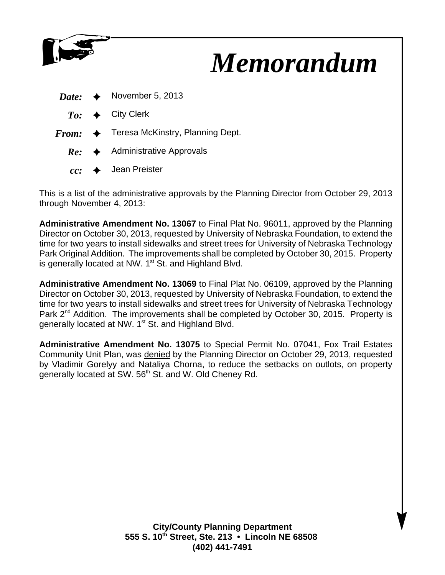

## *Memorandum*

|  | <i>Date:</i> $\leftrightarrow$ November 5, 2013          |
|--|----------------------------------------------------------|
|  | $To: \leftrightarrow$ City Clerk                         |
|  | $From: \Leftrightarrow$ Teresa McKinstry, Planning Dept. |
|  | $Re:$ Administrative Approvals                           |
|  | $cc:$ $\leftrightarrow$ Jean Preister                    |

This is a list of the administrative approvals by the Planning Director from October 29, 2013 through November 4, 2013:

**Administrative Amendment No. 13067** to Final Plat No. 96011, approved by the Planning Director on October 30, 2013, requested by University of Nebraska Foundation, to extend the time for two years to install sidewalks and street trees for University of Nebraska Technology Park Original Addition. The improvements shall be completed by October 30, 2015. Property is generally located at NW. 1<sup>st</sup> St. and Highland Blvd.

**Administrative Amendment No. 13069** to Final Plat No. 06109, approved by the Planning Director on October 30, 2013, requested by University of Nebraska Foundation, to extend the time for two years to install sidewalks and street trees for University of Nebraska Technology Park 2<sup>nd</sup> Addition. The improvements shall be completed by October 30, 2015. Property is generally located at NW. 1<sup>st</sup> St. and Highland Blvd.

**Administrative Amendment No. 13075** to Special Permit No. 07041, Fox Trail Estates Community Unit Plan, was denied by the Planning Director on October 29, 2013, requested by Vladimir Gorelyy and Nataliya Chorna, to reduce the setbacks on outlots, on property generally located at SW. 56<sup>th</sup> St. and W. Old Cheney Rd.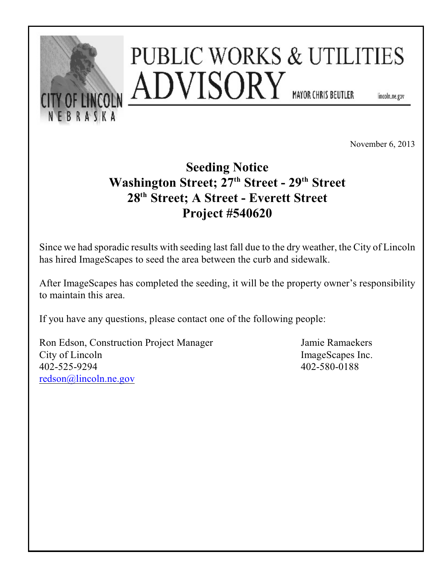

November 6, 2013

## **Seeding Notice Washington Street; 27<sup>th</sup> Street - 29<sup>th</sup> Street** 28<sup>th</sup> Street; A Street - Everett Street **Project #540620**

Since we had sporadic results with seeding last fall due to the dry weather, the City of Lincoln has hired ImageScapes to seed the area between the curb and sidewalk.

After ImageScapes has completed the seeding, it will be the property owner's responsibility to maintain this area.

If you have any questions, please contact one of the following people:

Ron Edson, Construction Project Manager Jamie Ramaekers City of Lincoln ImageScapes Inc. 402-525-9294 402-580-0188 [redson@lincoln.ne.gov](mailto:redson@lincoln.ne.gov)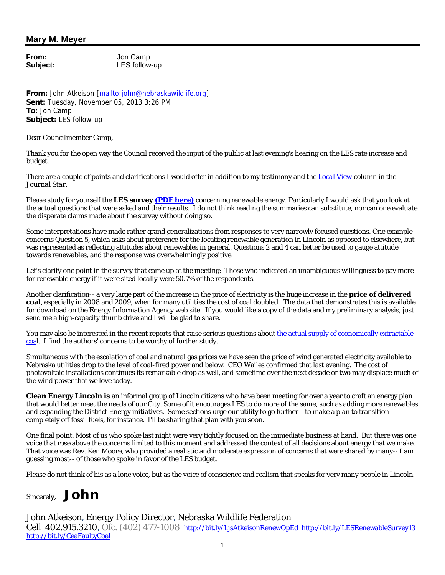## **Mary M. Meyer**

**From:** Jon Camp

**Subject:** LES follow-up

**From:** John Atkeison [mailto:john@nebraskawildlife.org] **Sent:** Tuesday, November 05, 2013 3:26 PM **To:** Jon Camp **Subject:** LES follow-up

Dear Councilmember Camp,

Thank you for the open way the Council received the input of the public at last evening's hearing on the LES rate increase and budget.

There are a couple of points and clarifications I would offer in addition to my testimony and the *Local View* column in the *Journal Star*.

Please study for yourself the **LES survey (PDF here)** concerning renewable energy. Particularly I would ask that you look at the actual questions that were asked and their results. I do not think reading the summaries can substitute, nor can one evaluate the disparate claims made about the survey without doing so.

Some interpretations have made rather grand generalizations from responses to very narrowly focused questions. One example concerns Question 5, which asks about preference for the locating renewable generation in Lincoln as opposed to elsewhere, but was represented as reflecting attitudes about renewables in general. Questions 2 and 4 can better be used to gauge attitude towards renewables, and the response was overwhelmingly positive.

Let's clarify one point in the survey that came up at the meeting: Those who indicated an unambiguous willingness to pay more for renewable energy *if it were sited locally* were 50.7% of the respondents.

Another clarification-- a very large part of the increase in the price of electricity is the huge increase in the **price of delivered coal**, especially in 2008 and 2009, when for many utilities the cost of coal doubled. The data that demonstrates this is available for download on the Energy Information Agency web site. If you would like a copy of the data and my preliminary analysis, just send me a high-capacity thumb drive and I will be glad to share.

You may also be interested in the recent reports that raise serious questions about the actual supply of economically extractable coal. I find the authors' concerns to be worthy of further study.

Simultaneous with the escalation of coal and natural gas prices we have seen the price of wind generated electricity available to Nebraska utilities drop to the level of coal-fired power and below. CEO Wailes confirmed that last evening. The cost of photovoltaic installations continues its remarkable drop as well, and sometime over the next decade or two may displace much of the wind power that we love today.

**Clean Energy Lincoln is** an informal group of Lincoln citizens who have been meeting for over a year to craft an energy plan that would better meet the needs of our City. Some of it encourages LES to do more of the same, such as adding more renewables and expanding the District Energy initiatives. Some sections urge our utility to go further-- to make a plan to transition completely off fossil fuels, for instance. I'll be sharing that plan with you soon.

One final point. Most of us who spoke last night were very tightly focused on the immediate business at hand. But there was one voice that rose above the concerns limited to this moment and addressed the context of all decisions about energy that we make. That voice was Rev. Ken Moore, who provided a realistic and moderate expression of concerns that were shared by many-- I am guessing most-- of those who spoke in favor of the LES budget.

Please do not think of his as a lone voice, but as the voice of conscience and realism that speaks for very many people in Lincoln.

## Sincerely, *John*

John Atkeison, Energy Policy Director, Nebraska Wildlife Federation

Cell 402.915.3210, Ofc. (402) 477-1008 http://bit.ly/LjsAtkeisonRenewOpEd http://bit.ly/LESRenewableSurvey13 http://bit.ly/CeaFaultyCoal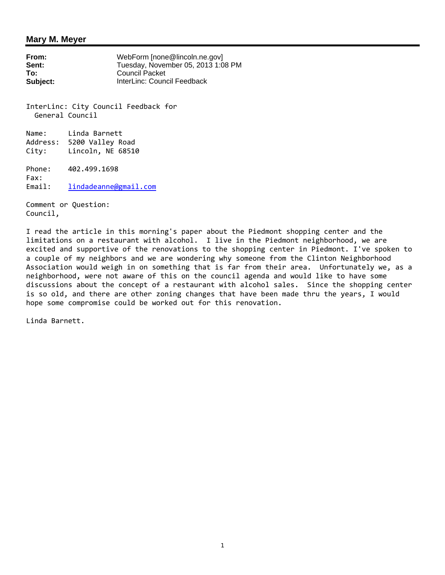#### **Mary M. Meyer**

**From:** WebForm [none@lincoln.ne.gov]<br> **Sent:** Tuesday. November 05. 2013 1:0 **Sent:** Tuesday, November 05, 2013 1:08 PM<br> **To:** Council Packet **To:** Council Packet **Subject:** InterLinc: Council Feedback

InterLinc: City Council Feedback for General Council

Name: Linda Barnett Address: 5200 Valley Road City: Lincoln, NE 68510

Phone: 402.499.1698 Fax: Email: lindadeanne@gmail.com

Comment or Question: Council,

I read the article in this morning's paper about the Piedmont shopping center and the limitations on a restaurant with alcohol. I live in the Piedmont neighborhood, we are excited and supportive of the renovations to the shopping center in Piedmont. I've spoken to a couple of my neighbors and we are wondering why someone from the Clinton Neighborhood Association would weigh in on something that is far from their area. Unfortunately we, as a neighborhood, were not aware of this on the council agenda and would like to have some discussions about the concept of a restaurant with alcohol sales. Since the shopping center is so old, and there are other zoning changes that have been made thru the years, I would hope some compromise could be worked out for this renovation.

Linda Barnett.